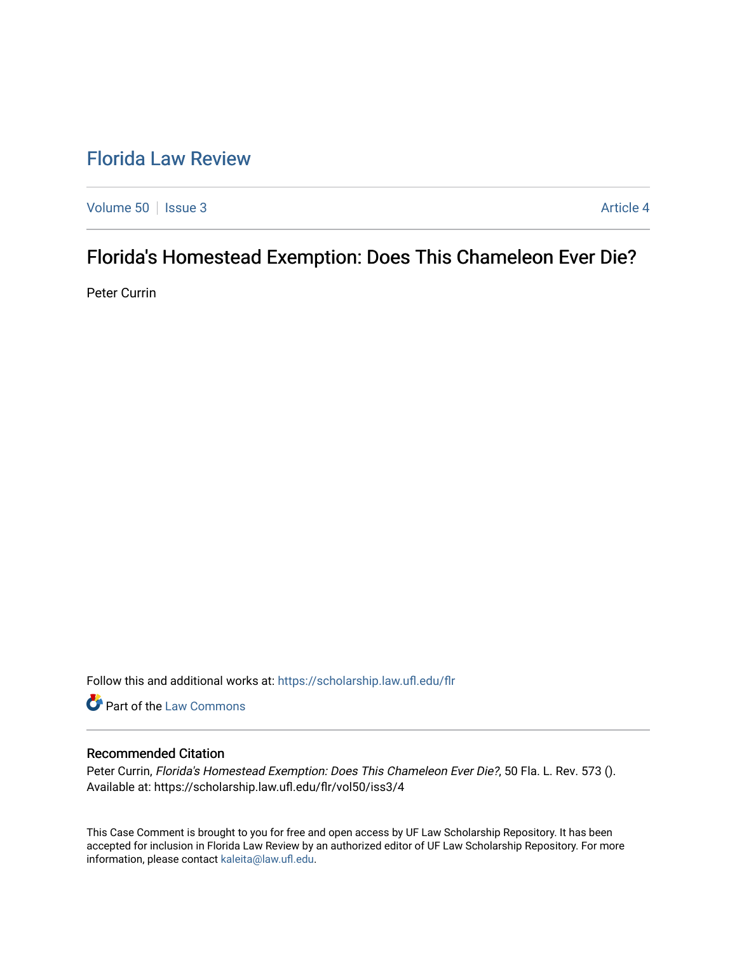# [Florida Law Review](https://scholarship.law.ufl.edu/flr)

[Volume 50](https://scholarship.law.ufl.edu/flr/vol50) | [Issue 3](https://scholarship.law.ufl.edu/flr/vol50/iss3) Article 4

# Florida's Homestead Exemption: Does This Chameleon Ever Die?

Peter Currin

Follow this and additional works at: [https://scholarship.law.ufl.edu/flr](https://scholarship.law.ufl.edu/flr?utm_source=scholarship.law.ufl.edu%2Fflr%2Fvol50%2Fiss3%2F4&utm_medium=PDF&utm_campaign=PDFCoverPages)

Part of the [Law Commons](http://network.bepress.com/hgg/discipline/578?utm_source=scholarship.law.ufl.edu%2Fflr%2Fvol50%2Fiss3%2F4&utm_medium=PDF&utm_campaign=PDFCoverPages)

### Recommended Citation

Peter Currin, Florida's Homestead Exemption: Does This Chameleon Ever Die?, 50 Fla. L. Rev. 573 (). Available at: https://scholarship.law.ufl.edu/flr/vol50/iss3/4

This Case Comment is brought to you for free and open access by UF Law Scholarship Repository. It has been accepted for inclusion in Florida Law Review by an authorized editor of UF Law Scholarship Repository. For more information, please contact [kaleita@law.ufl.edu.](mailto:kaleita@law.ufl.edu)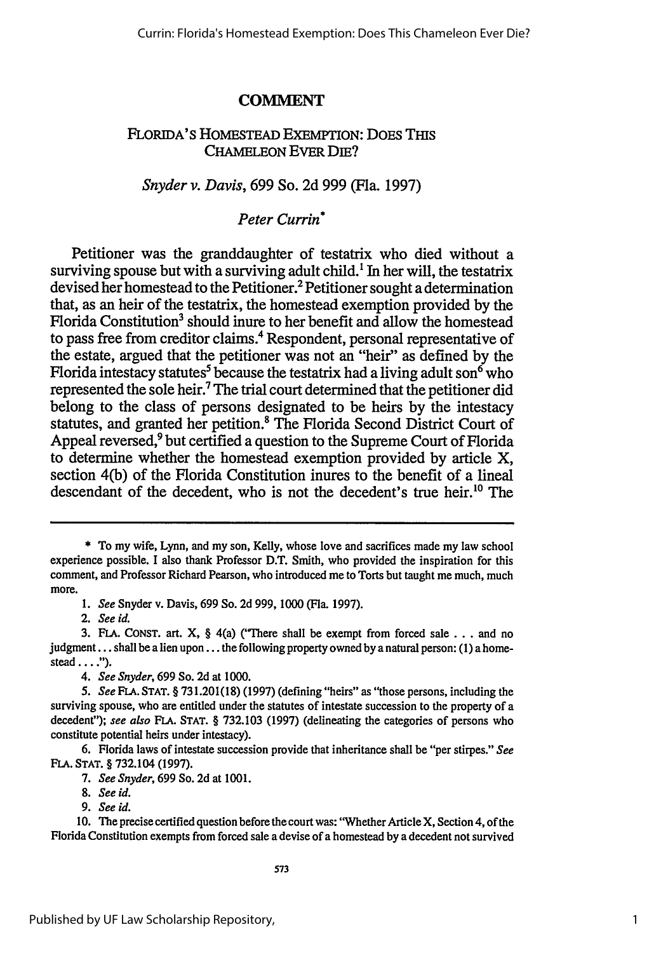## **COMMENT**

## FLORIDA'S HOMESTEAD EXEMPTION: DOES THIS CHAMELEON **EVER DIE?**

### *Snyder v. Davis,* 699 So. 2d 999 (Fla. 1997)

## *Peter Currin\**

Petitioner was the granddaughter of testatrix who died without a surviving spouse but with a surviving adult child.' In her will, the testatrix devised her homestead to the Petitioner.<sup>2</sup> Petitioner sought a determination that, as an heir of the testatrix, the homestead exemption provided by the Florida Constitution<sup>3</sup> should inure to her benefit and allow the homestead to pass free from creditor claims.' Respondent, personal representative of the estate, argued that the petitioner was not an "heir" as defined by the Florida intestacy statutes<sup>5</sup> because the testatrix had a living adult son<sup>6</sup> who represented the sole heir.' The trial court determined that the petitioner did belong to the class of persons designated to be heirs by the intestacy statutes, and granted her petition.<sup>8</sup> The Florida Second District Court of Appeal reversed,<sup>9</sup> but certified a question to the Supreme Court of Florida to determine whether the homestead exemption provided by article X, section 4(b) of the Florida Constitution inures to the benefit of a lineal descendant of the decedent, who is not the decedent's true heir.<sup>10</sup> The

*7. See Snyder,* **699** So. **2d** at **1001.**

*9. See id.*

**10.** The precise certified question before the court was: "Whether Article **X,** Section 4, of the Florida Constitution exempts from forced sale a devise of a homestead **by** a decedent not survived

<sup>\*</sup> To my wife, Lynn, and my son, Kelly, whose love and sacrifices made my law school experience possible. I also thank Professor D.T. Smith, who provided the inspiration for this comment, and Professor Richard Pearson, who introduced me to Torts but taught me much, much more.

*<sup>1.</sup> See* Snyder v. Davis, **699** So. **2d 999, 1000** (Fla. **1997).**

*<sup>2.</sup> See id.*

**<sup>3.</sup> FLA. CONST.** art. X, § 4(a) ("There shall be exempt from forced **sale...** and no judgment... shall be a lien **upon...** the following property owned **by** a natural person: **(1)** a home**stead** .... **).**

*<sup>4.</sup> See Snyder,* **699** So. **2d** at **1000.**

*<sup>5.</sup> See* **FLA. STAT.** § **731.201(18) (1997)** (defining "heirs" as "those persons, including the surviving spouse, who are entitled under the statutes of intestate succession to the property of a decedent"); *see also* **FLA. STAT.** § **732.103 (1997)** (delineating the categories of persons who constitute potential heirs under intestacy).

**<sup>6.</sup>** Florida laws of intestate succession provide that inheritance shall be "per stirpes." *See* **FLA. STAT.** § 732.104 **(1997).**

*<sup>8.</sup> See id.*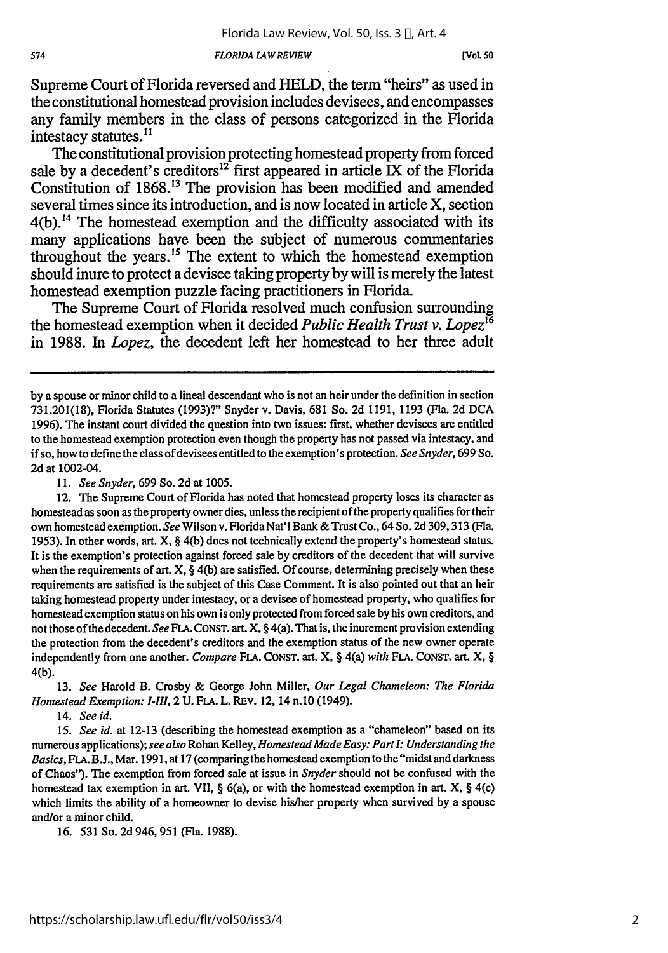### *FLORIDA LAWREVIEW*

Supreme Court of Florida reversed and HELD, the term "heirs" as used in the constitutional homestead provision includes devisees, and encompasses any family members in the class of persons categorized in the Florida intestacy statutes.<sup>11</sup>

The constitutional provision protecting homestead property from forced sale by a decedent's creditors<sup>12</sup> first appeared in article IX of the Florida Constitution of 1868."3 The provision has been modified and amended several times since its introduction, and is now located in article X, section  $4(b)$ .<sup>14</sup> The homestead exemption and the difficulty associated with its many applications have been the subject of numerous commentaries throughout the years.<sup>15</sup> The extent to which the homestead exemption should inure to protect a devisee taking property by will is merely the latest homestead exemption puzzle facing practitioners in Florida.

The Supreme Court of Florida resolved much confusion surrounding the homestead exemption when it decided *Public Health Trust v. Lopez <sup>6</sup>* in 1988. In *Lopez,* the decedent left her homestead to her three adult

11. *See Snyder,* 699 So. 2d at 1005.

**13.** *See* Harold B. Crosby & George John Miller, *Our Legal Chameleon: The Florida Homestead Exemption: I-III,* 2 U. FLA. L. REV. 12, 14 n.10 (1949).

14. *See id.*

15. *See id.* at 12-13 (describing the homestead exemption as a "chameleon" based on its numerous applications); *see also* Rohan Kelley, *Homestead Made Easy: Part I: Understanding the Basics,* **FLA. B.J.,** Mar. **1991,** at 17 (comparing the homestead exemption to the'"midst and darkness of Chaos"). The exemption from forced sale at issue in *Snyder* should not be confused with the homestead tax exemption in art. VII, §  $6(a)$ , or with the homestead exemption in art. X, § 4(c) which limits the ability of a homeowner to devise his/her property when survived by a spouse and/or a minor child.

16. 531 So. 2d 946, 951 (Fla. 1988).

574

by a spouse or minor child to a lineal descendant who is not an heir under the definition in section 731.201(18), Florida Statutes (1993)?" Snyder v. Davis, 681 So. 2d 1191, 1193 (Fla. 2d DCA 1996). The instant court divided the question into two issues: first, whether devisees are entitled to the homestead exemption protection even though the property has not passed via intestacy, and if so, how to define the class of devisees entitled to the exemption's protection. *See Snyder,* 699 So. 2d at 1002-04.

<sup>12.</sup> The Supreme Court of Florida has noted that homestead property loses its character as homestead as soon as the property owner dies, unless the recipient of the property qualifies for their own homestead exemption. See Wilson v. Florida Nat'l Bank & Trust Co., 64 So. 2d 309,313 (Fla. 1953). In other words, art. X, **§** 4(b) does not technically extend the property's homestead status. It is the exemption's protection against forced sale by creditors of the decedent that will survive when the requirements of art. X, § 4(b) are satisfied. Of course, determining precisely when these requirements are satisfied is the subject of this Case Comment. It is also pointed out that an heir taking homestead property under intestacy, or a devisee of homestead property, who qualifies for homestead exemption status on his own is only protected from forced sale by his own creditors, and not those of the decedent. *See* FLA. CONST. art. X, § 4(a). That is, the inurement provision extending the protection from the decedent's creditors and the exemption status of the new owner operate independently from one another. *Compare* **FLA. CONST.** art. X, § 4(a) *with* **FLA. CONST.** art. X, § 4(b).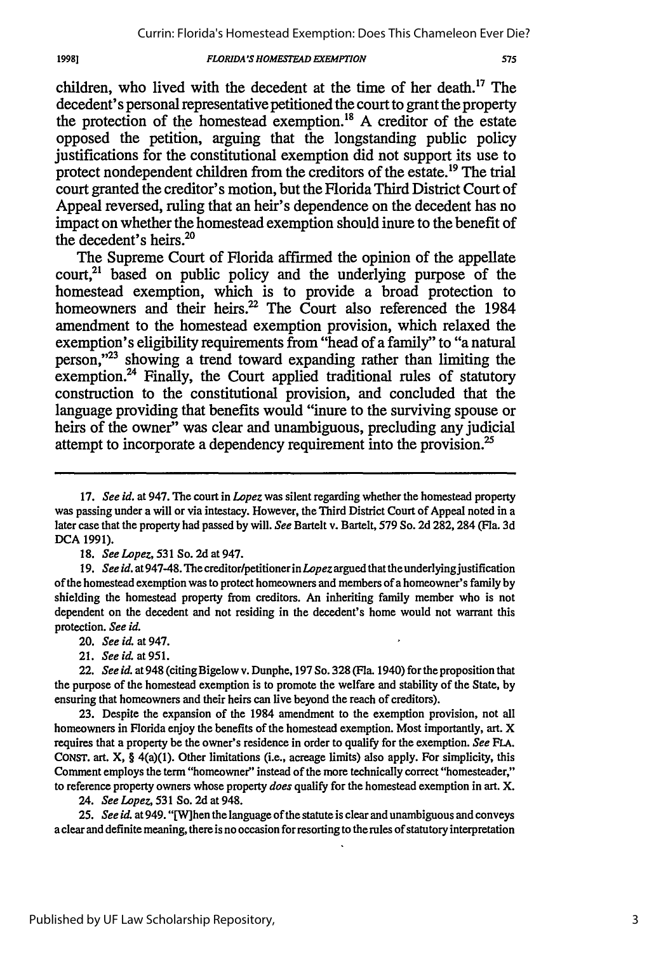### *FLORIDA'S HOMESTEAD EXEMPTION*

children, who lived with the decedent at the time of her death.<sup>17</sup> The decedent's personal representative petitioned the court to grant the property the protection of the homestead exemption.18 A creditor of the estate opposed the petition, arguing that the longstanding public policy justifications for the constitutional exemption did not support its use to protect nondependent children from the creditors of the estate.<sup>19</sup> The trial court granted the creditor's motion, but the Florida Third District Court of Appeal reversed, ruling that an heir's dependence on the decedent has no impact on whether the homestead exemption should inure to the benefit of the decedent's heirs. $^{20}$ 

The Supreme Court of Florida affirmed the opinion of the appellate  $\text{count}^{21}$  based on public policy and the underlying purpose of the homestead exemption, which is to provide a broad protection to homeowners and their heirs.<sup>22</sup> The Court also referenced the 1984 amendment to the homestead exemption provision, which relaxed the exemption's eligibility requirements from "head of a family" to "a natural person,"<sup>23</sup> showing a trend toward expanding rather than limiting the exemption.<sup>24</sup> Finally, the Court applied traditional rules of statutory construction to the constitutional provision, and concluded that the language providing that benefits would "inure to the surviving spouse or heirs of the owner" was clear and unambiguous, precluding any judicial attempt to incorporate a dependency requirement into the provision.<sup>25</sup>

19981

24. *See Lopez,* 531 So. 2d at 948.

**25.** *See id.* at 949. "[W]hen the language of the statute is clear and unambiguous and conveys a clear and definite meaning, there is no occasion for resorting to the rules of statutory interpretation

<sup>17.</sup> *See id.* at 947. The court in *Lopez* was silent regarding whether the homestead property was passing under a will or via intestacy. However, the Third District Court of Appeal noted in a later case that the property had passed by will. *See* Bartelt v. Bartelt, 579 So. 2d 282, 284 (Fla. 3d **DCA** 1991).

<sup>18.</sup> *See Lopez,* 531 So. 2d at 947.

<sup>19.</sup> *See id.* at 947-48. *The* creditor/petitioner in *Lopez* argued that the underlyingjustification of the homestead exemption was to protect homeowners and members of a homeowner's family by shielding the homestead property from creditors. An inheriting family member who is not dependent on the decedent and not residing in the decedent's home would not warrant this protection. *See id.*

<sup>20.</sup> *See id.* at 947.

<sup>21.</sup> *See id.* at 951.

<sup>22.</sup> *See id.* at 948 (citing Bigelow v. Dunphe, 197 So. 328 (Fla. 1940) forthe proposition that the purpose of the homestead exemption is to promote the welfare and stability of the State, by ensuring that homeowners and their heirs can live beyond the reach of creditors).

**<sup>23.</sup>** Despite the expansion of the 1984 amendment to the exemption provision, not all homeowners in Florida enjoy the benefits of the homestead exemption. Most importantly, art. X requires that a property be the owner's residence in order to qualify for the exemption. *See FLA.* **CONST.** art. X, § 4(a)(1). Other limitations (i.e., acreage limits) also apply. For simplicity, this Comment employs the term "homeowner" instead of the more technically correct "homesteader," to reference property owners whose property *does* qualify for the homestead exemption in art. X.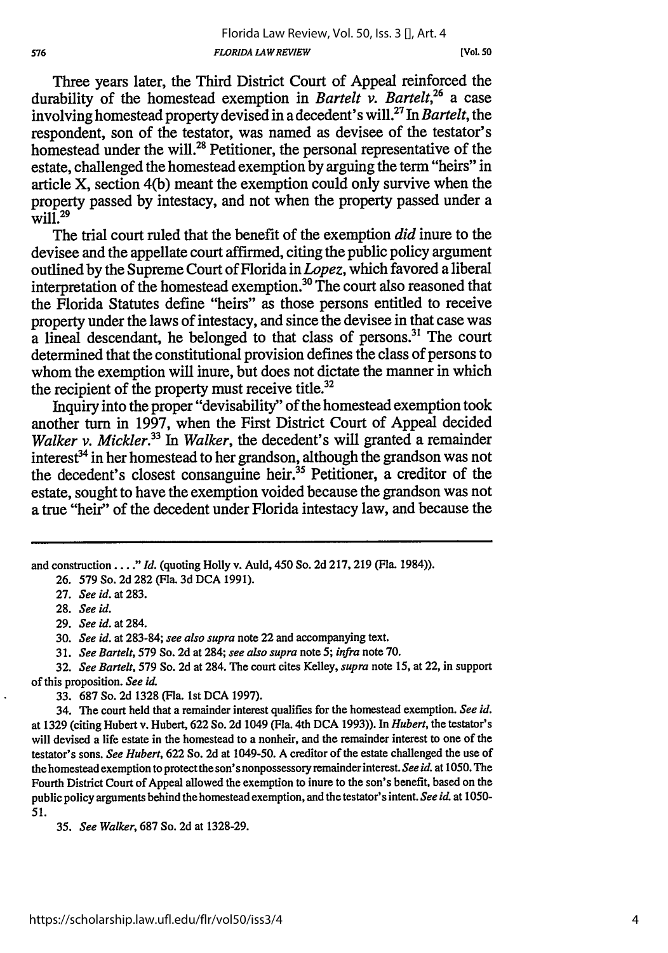**[Vol 50**

Three years later, the Third District Court of Appeal reinforced the durability of the homestead exemption in *Bartelt v. Bartelt,"6* a case involving homestead property devised in a decedent' s will.27 In *Bartelt,* the respondent, son of the testator, was named as devisee of the testator's homestead under the will.<sup>28</sup> Petitioner, the personal representative of the estate, challenged the homestead exemption by arguing the term "heirs" in article X, section 4(b) meant the exemption could only survive when the property passed by intestacy, and not when the property passed under a  $\frac{1}{29}$ 

The trial court ruled that the benefit of the exemption *did* inure to the devisee and the appellate court affirmed, citing the public policy argument outlined by the Supreme Court of Florida in *Lopez,* which favored a liberal interpretation of the homestead exemption.<sup>30</sup> The court also reasoned that the Florida Statutes define "heirs" as those persons entitled to receive property under the laws of intestacy, and since the devisee in that case was  $\alpha$  lineal descendant, he belonged to that class of persons.<sup>31</sup> The court determined that the constitutional provision defines the class of persons to whom the exemption will inure, but does not dictate the manner in which the recipient of the property must receive title.<sup>32</sup>

Inquiry into the proper "devisability" of the homestead exemption took another turn in 1997, when the First District Court of Appeal decided *Walker v. Mickler*.<sup>33</sup> In *Walker*, the decedent's will granted a remainder interest<sup>34</sup> in her homestead to her grandson, although the grandson was not the decedent's closest consanguine heir.<sup>35</sup> Petitioner, a creditor of the estate, sought to have the exemption voided because the grandson was not a true "heir" of the decedent under Florida intestacy law, and because the

and construction ... **."** *Id.* (quoting Holly v. Auld, 450 So. 2d 217, 219 (Fla. 1984)).

27. *See id.* at 283.

**28.** *See id.*

29. *See id.* at 284.

30. *See id.* at 283-84; *see also supra* note 22 and accompanying text.

31. *See Bartelt,* 579 So. 2d at 284; *see also supra* note *5; infra* note 70.

**32.** *See Bartelt,* **579** So. 2d at 284. The court cites Kelley, *supra* note **15,** at 22, in support of this proposition. *See id.*

33. 687 So. 2d 1328 (Fla. 1st DCA 1997).

34. The court held that a remainder interest qualifies for the homestead exemption. *See id.* at 1329 (citing Hubert v. Hubert, 622 So. 2d 1049 (Fla. 4th DCA 1993)). In *Hubert,* the testator's will devised a life estate in the homestead to a nonheir, and the remainder interest to one of the testator's sons. *See Hubert,* 622 So. 2d at 1049-50. A creditor of the estate challenged the use of the homestead exemption to protect the son's nonpossessory remainder interest. *See id.* at 1050. The Fourth District Court of Appeal allowed the exemption to inure to the son's benefit, based on the public policy arguments behind the homestead exemption, and the testator's intent. *See id.* at 1050- 51.

35. *See Walker,* 687 So. 2d at 1328-29.

<sup>26. 579</sup> So. 2d 282 (Fla. 3d DCA 1991).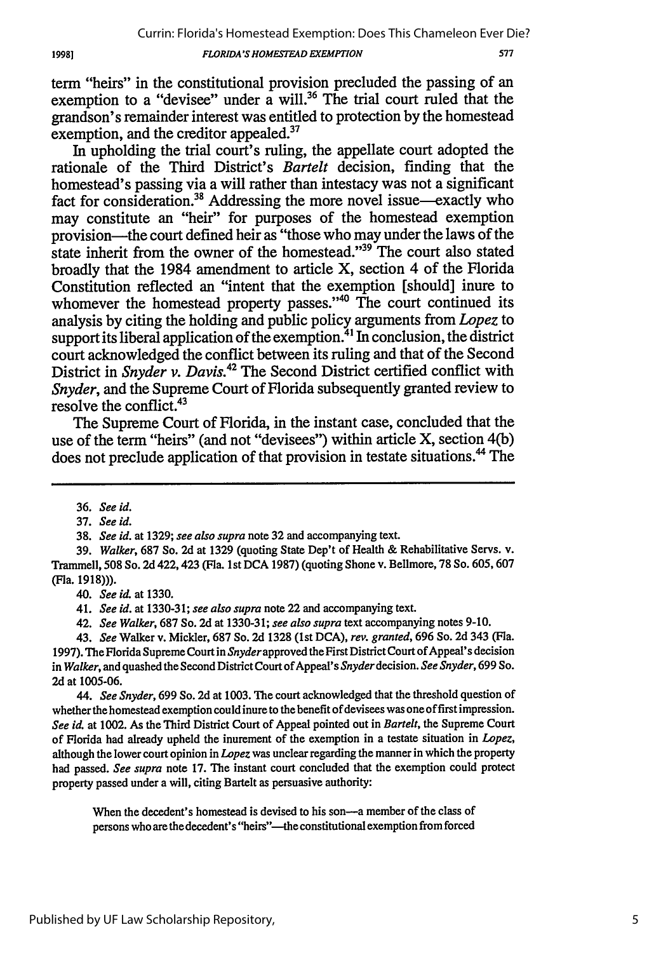*FLORIDA'S HOMESTEAD EXEMPTION*

577

term "heirs" in the constitutional provision precluded the passing of an exemption to a "devisee" under a will.<sup>36</sup> The trial court ruled that the grandson's remainder interest was entitled to protection by the homestead exemption, and the creditor appealed.<sup>37</sup>

In upholding the trial court's ruling, the appellate court adopted the rationale of the Third District's *Bartelt* decision, finding that the homestead's passing via a will rather than intestacy was not a significant fact for consideration.<sup>38</sup> Addressing the more novel issue—exactly who may constitute an "heir" for purposes of the homestead exemption provision-the court defined heir as "those who may under the laws of the state inherit from the owner of the homestead."<sup>39</sup> The court also stated broadly that the 1984 amendment to article X, section 4 of the Florida Constitution reflected an "intent that the exemption [should] inure to whomever the homestead property passes."<sup>40</sup> The court continued its analysis by citing the holding and public policy arguments from *Lopez* to support its liberal application of the exemption.<sup>41</sup> In conclusion, the district court acknowledged the conflict between its ruling and that of the Second District in *Snyder v. Davis.42* The Second District certified conflict with *Snyder,* and the Supreme Court of Florida subsequently granted review to resolve the conflict.43

The Supreme Court of Florida, in the instant case, concluded that the use of the term "heirs" (and not "devisees") within article X, section 4(b) does not preclude application of that provision in testate situations.<sup>44</sup> The

37. *See id.*

*40. See* id. at 1330.

41. *See id.* at 1330-31; *see also supra* note 22 and accompanying text.

42. *See Walker,* 687 So. 2d at 1330-31; *see also supra* text accompanying notes 9-10.

43. *See* Walker v. Mickler, 687 So. 2d 1328 (1st DCA), *rev. granted,* 696 So. 2d 343 (Fla. 1997). The Florida Supreme Court in Snyder approved the First District Court of Appeal's decision in *Walker*, and quashed the Second District Court of Appeal's Snyder decision. See Snyder, 699 So. 2d at 1005-06.

*44. See Snyder,* 699 So. 2d at 1003. The court acknowledged that the threshold question of whether the homestead exemption could inure to the benefit of devisees was one of first impression. *See id.* at 1002. As the Third District Court of Appeal pointed out in *Bartelt,* the Supreme Court of Florida had already upheld the inurement of the exemption in a testate situation in *Lopez,* although the lower court opinion in *Lopez* was unclear regarding the manner in which the property had passed. *See supra* note 17. The instant court concluded that the exemption could protect property passed under a will, citing Bartelt as persuasive authority:

When the decedent's homestead is devised to his son--- a member of the class of persons who are the decedent's "heirs"--the constitutional exemption from forced

<sup>36.</sup> *See id.*

<sup>38.</sup> *See id.* at 1329; *see also supra* note 32 and accompanying text.

<sup>39.</sup> *Walker,* 687 So. 2d at 1329 (quoting State Dep't of Health & Rehabilitative Servs. v. Trammell, **508** So. 2d 422,423 (Fla. 1st DCA 1987) (quoting Shone v. Bellmore, 78 So. 605, 607 (Fla. 1918))).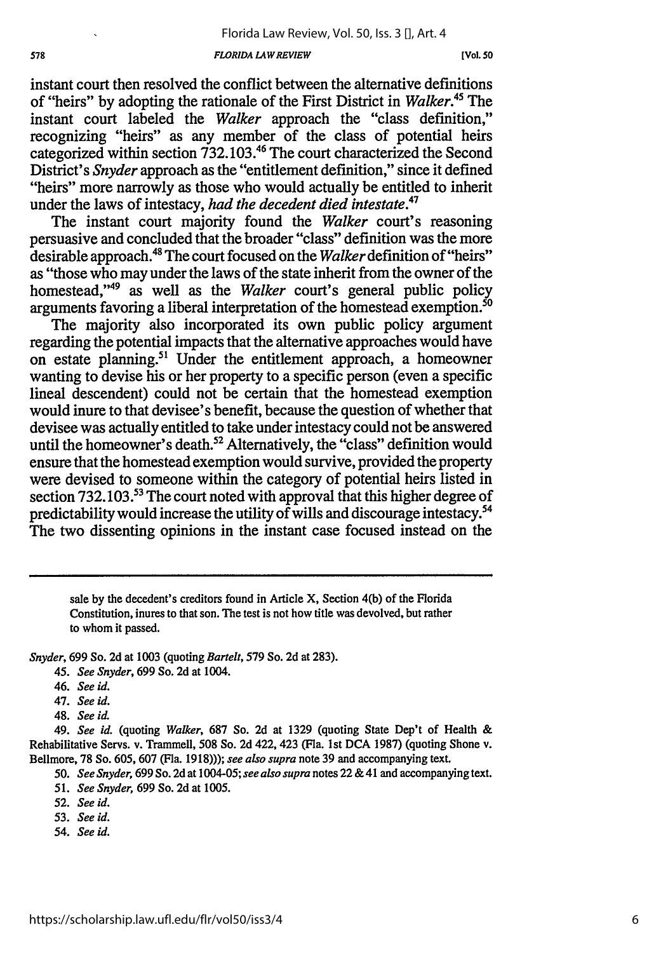**[Vol. 50**

instant court then resolved the conflict between the alternative definitions of "heirs" by adopting the rationale of the First District in *Walker.45* The instant court labeled the *Walker* approach the "class definition," recognizing "heirs" as any member of the class of potential heirs categorized within section 732.103.46 The court characterized the Second District's *Snyder* approach as the "entitlement definition," since it defined "heirs" more narrowly as those who would actually be entitled to inherit under the laws of intestacy, *had the decedent died intestate.47*

The instant court majority found the *Walker* court's reasoning persuasive and concluded that the broader "class" definition was the more desirable approach. 48 The court focused on the *Walker* definition of "heirs" as "those who may under the laws of the state inherit from the owner of the homestead, 49 as well as the *Walker* court's general public policy arguments favoring a liberal interpretation of the homestead exemption.<sup>50</sup>

The majority also incorporated its own public policy argument regarding the potential impacts that the alternative approaches would have on estate planning.51 Under the entitlement approach, a homeowner wanting to devise his or her property to a specific person (even a specific lineal descendent) could not be certain that the homestead exemption would inure to that devisee's benefit, because the question of whether that devisee was actually entitled to take under intestacy could not be answered until the homeowner's death.<sup>52</sup> Alternatively, the "class" definition would ensure that the homestead exemption would survive, provided the property were devised to someone within the category of potential heirs listed in section 732.103.<sup>53</sup> The court noted with approval that this higher degree of predictability would increase the utility of wills and discourage intestacy.<sup>54</sup> The two dissenting opinions in the instant case focused instead on the

sale **by** the decedent's creditors found in Article X, Section 4(b) of the Florida Constitution, inures to that son. The test is not how title was devolved, but rather to whom it passed.

*Snyder,* 699 So. **2d** at 1003 (quoting *Bartelt,* 579 So. **2d** at 283).

45. *See Snyder,* 699 So. 2d at 1004.

- 46. *See id.*
- 47. *See id.*
- 48. *See id.*

49. *See id.* (quoting *Walker,* 687 So. **2d** at 1329 (quoting State Dep't of Health & Rehabilitative Servs. v. Trammell, 508 So. 2d 422, 423 (Fla. 1st **DCA** 1987) (quoting Shone v. Bellmore, 78 So. 605, 607 (Fla. 1918))); *see also supra* note 39 and accompanying text.

*50. See Snyder,* 699 So. **2d** at 1004-05; *see also supra* notes 22 & 41 and accompanying text.

- 51. *See Snyder,* 699 So. 2d at 1005.
- 52. *See id.*
- *53. See id.*
- 54. See id.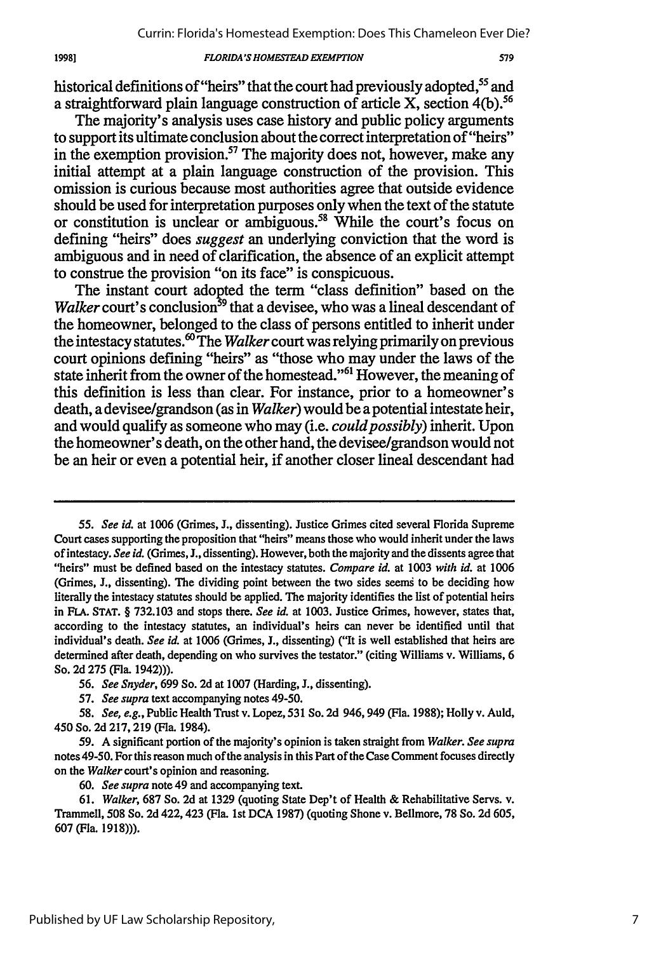### *FLORIDA'S HOMFSTEAD EXEMPTION*

19981

historical definitions of "heirs" that the court had previously adopted,<sup>55</sup> and a straightforward plain language construction of article X, section  $4(b)$ .<sup>56</sup>

The majority's analysis uses case history and public policy arguments to support its ultimate conclusion about the correct interpretation of "heirs" in the exemption provision.<sup>57</sup> The majority does not, however, make any initial attempt at a plain language construction of the provision. This omission is curious because most authorities agree that outside evidence should be used for interpretation purposes only when the text of the statute or constitution is unclear or ambiguous.<sup>58</sup> While the court's focus on defining "heirs" does *suggest* an underlying conviction that the word is ambiguous and in need of clarification, the absence of an explicit attempt to construe the provision "on its face" is conspicuous.

The instant court adopted the term "class definition" based on the *Walker* court's conclusion<sup>39</sup> that a devisee, who was a lineal descendant of the homeowner, belonged to the class of persons entitled to inherit under the intestacy statutes ° The *Walker* court was relying primarily on previous court opinions defining "heirs" as "those who may under the laws of the state inherit from the owner of the homestead."<sup>61</sup> However, the meaning of this definition is less than clear. For instance, prior to a homeowner's death, a devisee/grandson (as in *Walker)* would be a potential intestate heir, and would qualify as someone who may (i.e. *could possibly)* inherit. Upon the homeowner's death, on the other hand, the devisee/grandson would not be an heir or even a potential heir, if another closer lineal descendant had

*<sup>55.</sup> See id.* at **1006** (Grimes, **J.,** dissenting). Justice Grimes cited several Florida Supreme Court cases supporting the proposition that "heirs" means those who would inherit under the laws of intestacy. *See id.* (Grimes, **J.,** dissenting). However, both the majority and the dissents agree that "heirs" must be defined based on the intestacy statutes. *Compare id.* at **1003** *with id.* at **1006** (Grimes, J., dissenting). The dividing point between the two sides seems to be deciding how literally the intestacy statutes should be applied. **The** majority identifies the list of potential heirs in **FLA. STAT. § 732.103** and stops there. *See id.* at **1003.** Justice Grimes, however, states that, according to the intestacy statutes, an individual's heirs can never be identified until that individual's death. *See id.* at **1006** (Grimes, **J.,** dissenting) ("It is well established that heirs are determined after death, depending on who survives the testator." (citing Williams v. Williams, **6** So. **2d 275** (Fla. 1942))).

*<sup>56.</sup> See Snyder,* **699** So. **2d** at **1007** (Harding, **J.,** dissenting).

*<sup>57.</sup> See supra* text accompanying notes 49-50.

*<sup>58.</sup> See, e.g.,* Public Health Trust v. Lopez, **531** So. **2d** 946,949 (Fla. **1988);** Holly v. Auld, 450 So. **2d 217, 219** (Fla. 1984).

**<sup>59.</sup> A** significant portion of the majority's opinion is taken straight from *Walker. See supra* notes 49-50. For this reason much of the analysis in this Part of the Case Comment focuses directly on the *Walker* court's opinion and reasoning.

**<sup>60.</sup>** *See supra* note 49 and accompanying text.

**<sup>61.</sup>** *Walker,* **687** So. **2d** at **1329** (quoting State Dep't of Health **&** Rehabilitative Servs. v. Trammell, **508** So. **2d** 422,423 (Fla. **1st DCA 1987)** (quoting Shone v. Bellmore, **78** So. **2d 605, 607** (Fla. **1918))).**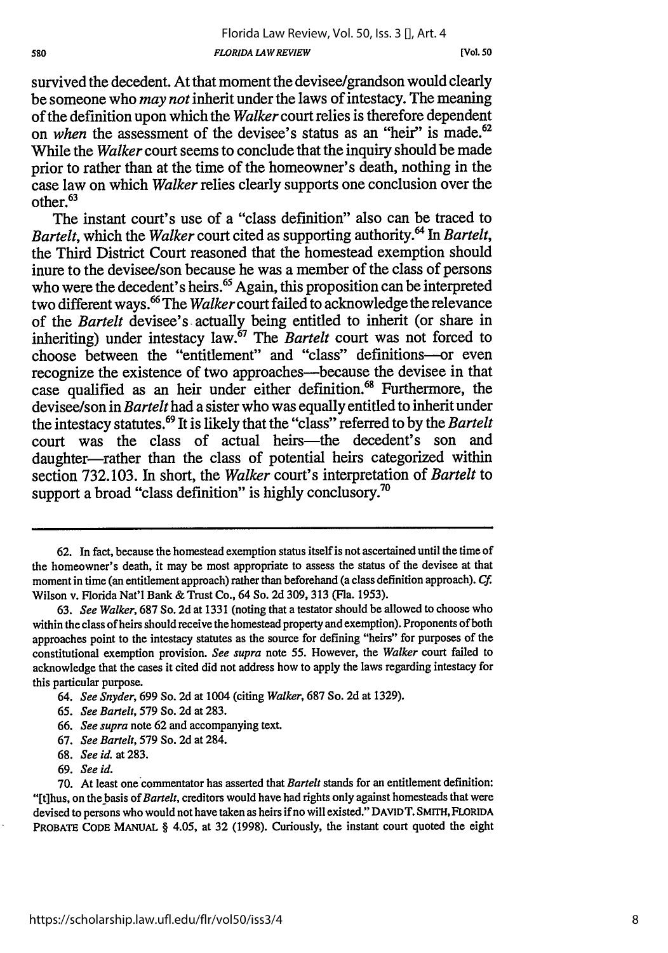survived the decedent. At that moment the devisee/grandson would clearly be someone who *may not* inherit under the laws of intestacy. The meaning of the definition upon which the *Walker* court relies is therefore dependent on *when* the assessment of the devisee's status as an "heir" is made.<sup>62</sup> While the *Walker* court seems to conclude that the inquiry should be made prior to rather than at the time of the homeowner's death, nothing in the case law on which *Walker* relies clearly supports one conclusion over the  $other.<sup>63</sup>$ 

The instant court's use of a "class definition" also can be traced to *Bartelt,* which the *Walker* court cited as supporting authority. 4 In *Bartelt,* the Third District Court reasoned that the homestead exemption should inure to the devisee/son because he was a member of the class of persons who were the decedent's heirs.<sup>65</sup> Again, this proposition can be interpreted two different ways.6 The *Walker* court failed to acknowledge the relevance of the *Bartelt* devisee's actually being entitled to inherit (or share in inheriting) under intestacy law.67 The *Bartelt* court was not forced to choose between the "entitlement" and "class" definitions-or even recognize the existence of two approaches—because the devisee in that case qualified as an heir under either definition.<sup>68</sup> Furthermore, the devisee/son in *Bartelt* had a sister who was equally entitled to inherit under the intestacy statutes. 69 It is likely that the "class" referred to by the *Bartelt* court was the class of actual heirs—the decedent's son and daughter-rather than the class of potential heirs categorized within section 732.103. In short, the *Walker* court's interpretation of *Bartelt* to support a broad "class definition" is highly conclusory.<sup>70</sup>

65. *See Bartelt,* 579 So. 2d at 283.

- 68. *See id.* at 283.
- 69. *See id.*

<sup>62.</sup> In fact, because the homestead exemption status itself is not ascertained until the time of the homeowner's death, it may be most appropriate to assess the status of the devisee at that moment in time (an entitlement approach) rather than beforehand (a class definition approach). *Cf.* Wilson v. Florida Nat'l Bank & Trust Co., 64 So. 2d 309, 313 (Fla. 1953).

<sup>63.</sup> *See Walker,* 687 So. 2d at 1331 (noting that a testator should be allowed to choose who within the class of heirs should receive the homestead property and exemption). Proponents of both approaches point to the intestacy statutes as the source for defining "heirs" for purposes of the constitutional exemption provision. *See supra* note 55. However, the *Walker* court failed to acknowledge that the cases it cited did not address how to apply the laws regarding intestacy for this particular purpose.

<sup>64.</sup> *See Snyder,* 699 So. 2d at 1004 (citing *Walker,* 687 So. 2d at 1329).

<sup>66.</sup> *See supra* note 62 and accompanying text.

<sup>67.</sup> *See Bartelt,* 579 So. 2d at 284.

**<sup>70.</sup>** At least one'commentator has asserted that *Bartelt* stands for an entitlement definition: "[t]hus, on the basis *of Bartelt,* creditors would have had rights only against homesteads that were devised to persons who would not have taken as heirs if no will existed." DAVIDT. SMITH, FLORIDA PROBATE CODE **MANUAL** § 4.05, at 32 (1998). Curiously, the instant court quoted the eight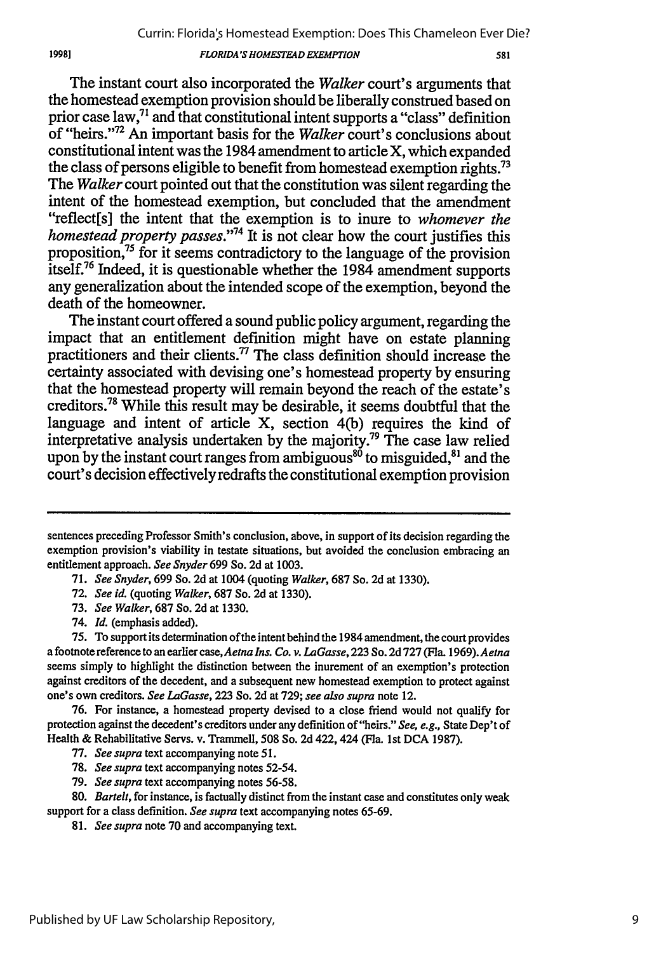#### *FLORIDA'S HOMFSTEAD EXEMPTION*

The instant court also incorporated the *Walker* court's arguments that the homestead exemption provision should be liberally construed based on prior case law,<sup>71</sup> and that constitutional intent supports a "class" definition of "heirs."'72 An important basis for the *Walker* court's conclusions about constitutional intent was the 1984 amendment to article X, which expanded the class of persons eligible to benefit from homestead exemption rights.<sup>73</sup> The *Walker* court pointed out that the constitution was silent regarding the intent of the homestead exemption, but concluded that the amendment "reflect[s] the intent that the exemption is to inure to *whomever the homestead property passes."74* It is not clear how the court justifies this proposition,75 for it seems contradictory to the language of the provision itself.76 Indeed, it is questionable whether the 1984 amendment supports any generalization about the intended scope of the exemption, beyond the death of the homeowner.

The instant court offered a sound public policy argument, regarding the impact that an entitlement definition might have on estate planning practitioners and their clients.<sup>77</sup> The class definition should increase the certainty associated with devising one's homestead property by ensuring that the homestead property will remain beyond the reach of the estate's creditors.78 While this result may be desirable, it seems doubtful that the language and intent of article X, section 4(b) requires the kind of interpretative analysis undertaken by the majority.<sup>79</sup> The case law relied upon by the instant court ranges from ambiguous<sup>80</sup> to misguided,<sup>81</sup> and the court's decision effectively redrafts the constitutional exemption provision

- 73. *See Walker,* 687 So. 2d at 1330.
- 74. *Id.* (emphasis added).

19981

- 77. *See supra* text accompanying note 51.
- 78. *See supra* text accompanying notes 52-54.
- 79. *See supra* text accompanying notes **56-58.**

81. *See supra* note 70 and accompanying text.

sentences preceding Professor Smith's conclusion, above, in support of its decision regarding the exemption provision's viability in testate situations, but avoided the conclusion embracing an entitlement approach. *See Snyder* 699 So. 2d at 1003.

<sup>71.</sup> *See Snyder,* 699 So. 2d at 1004 (quoting *Walker,* 687 So. 2d at 1330).

<sup>72.</sup> *See id.* (quoting *Walker,* 687 So. 2d at 1330).

**<sup>75.</sup>** To support its determination of the intent behind the 1984 amendment, the court provides a footnote reference to an earlier case, *Aetna Ins. Co. v. LaGasse,* **223** So. **2d 727** (Fla. *1969).Aetna* seems simply to highlight the distinction between the inurement of an exemption's protection against creditors of the decedent, and a subsequent new homestead exemption to protect against one's own creditors. *See LaGasse,* 223 So. 2d at 729; *see also supra* note 12.

<sup>76.</sup> For instance, a homestead property devised to a close friend would not qualify for protection against the decedent's creditors under any definition of "heirs." *See, e.g.,* State Dep't of Health & Rehabilitative Servs. v. Trammell, 508 So. 2d 422,424 (Fla. 1st **DCA** 1987).

**<sup>80.</sup>** *Bartelt,* for instance, is factually distinct from the instant case and constitutes only weak support for a class definition. *See supra* text accompanying notes 65-69.